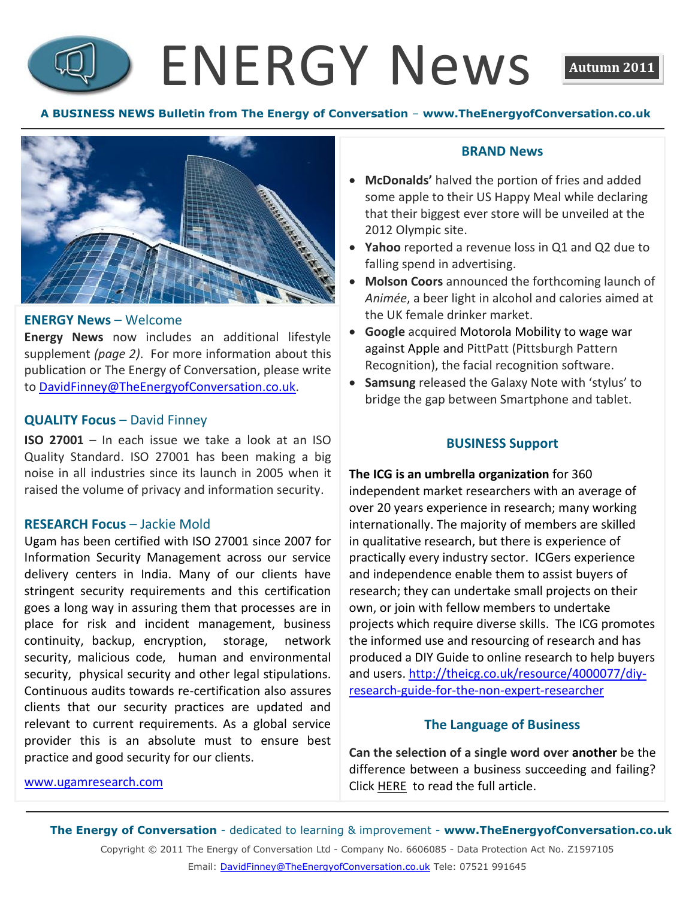# ENERGY News **Autumn 2011**



### **ENERGY News** – Welcome

**Energy News** now includes an additional lifestyle supplement *(page 2)*. For more information about this publication or The Energy of Conversation, please write to [DavidFinney@TheEnergyofConversation.co.uk.](mailto:DavidFinney@TheEnergyofConversation.co.uk)

### **QUALITY Focus** – David Finney

**ISO 27001** – In each issue we take a look at an ISO Quality Standard. ISO 27001 has been making a big noise in all industries since its launch in 2005 when it raised the volume of privacy and information security.

### **RESEARCH Focus** – Jackie Mold

Ugam has been certified with ISO 27001 since 2007 for Information Security Management across our service delivery centers in India. Many of our clients have stringent security requirements and this certification goes a long way in assuring them that processes are in place for risk and incident management, business continuity, backup, encryption, storage, network security, malicious code, human and environmental security, physical security and other legal stipulations. Continuous audits towards re-certification also assures clients that our security practices are updated and relevant to current requirements. As a global service provider this is an absolute must to ensure best practice and good security for our clients.

#### **BRAND News**

- **McDonalds'** halved the portion of fries and added some apple to their US Happy Meal while declaring that their biggest ever store will be unveiled at the 2012 Olympic site.
- **Yahoo** reported a revenue loss in Q1 and Q2 due to falling spend in advertising.
- **Molson Coors** announced the forthcoming launch of *Animée*, a beer light in alcohol and calories aimed at the UK female drinker market.
- **Google** acquired Motorola Mobility to wage war against Apple and PittPatt (Pittsburgh Pattern Recognition), the facial recognition software.
- **Samsung** released the Galaxy Note with 'stylus' to bridge the gap between Smartphone and tablet.

### **BUSINESS Support**

**The ICG is an umbrella organization** for 360 independent market researchers with an average of over 20 years experience in research; many working internationally. The majority of members are skilled in qualitative research, but there is experience of practically every industry sector. ICGers experience and independence enable them to assist buyers of research; they can undertake small projects on their own, or join with fellow members to undertake projects which require diverse skills. The ICG promotes the informed use and resourcing of research and has produced a DIY Guide to online research to help buyers and users. [http://theicg.co.uk/resource/4000077/diy](http://theicg.co.uk/resource/4000077/diy-research-guide-for-the-non-expert-researcher)[research-guide-for-the-non-expert-researcher](http://theicg.co.uk/resource/4000077/diy-research-guide-for-the-non-expert-researcher)

### **The Language of Business**

**Can the selection of a single word over another** be the difference between a business succeeding and failing? Click [HERE](http://www.coachingacademyblog.com/the-language-of-business-by-david-finney/) to read the full article.

[www.ugamresearch.com](http://www.ugamresearch.com/)

**The Energy of Conversation** - dedicated to learning & improvement - **www.TheEnergyofConversation.co.uk**

Copyright © 2011 The Energy of Conversation Ltd - Company No. 6606085 - Data Protection Act No. Z1597105